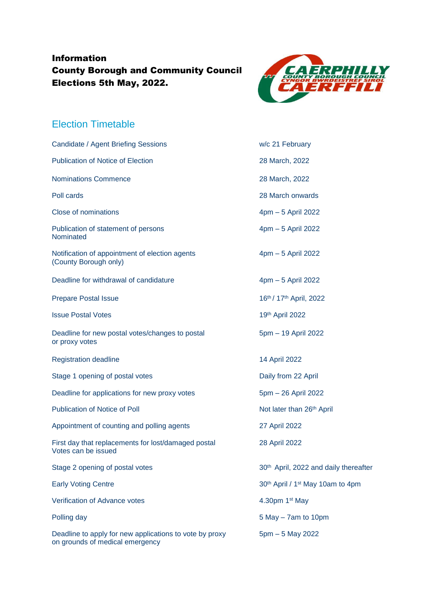## Information County Borough and Community Council Elections 5th May, 2022.



## Election Timetable

| Candidate / Agent Briefing Sessions                                                        | w/c 21 February                                          |
|--------------------------------------------------------------------------------------------|----------------------------------------------------------|
| <b>Publication of Notice of Election</b>                                                   | 28 March, 2022                                           |
| <b>Nominations Commence</b>                                                                | 28 March, 2022                                           |
| Poll cards                                                                                 | 28 March onwards                                         |
| <b>Close of nominations</b>                                                                | 4pm - 5 April 2022                                       |
| Publication of statement of persons<br>Nominated                                           | 4pm - 5 April 2022                                       |
| Notification of appointment of election agents<br>(County Borough only)                    | 4pm - 5 April 2022                                       |
| Deadline for withdrawal of candidature                                                     | 4pm - 5 April 2022                                       |
| <b>Prepare Postal Issue</b>                                                                | 16th / 17th April, 2022                                  |
| <b>Issue Postal Votes</b>                                                                  | 19th April 2022                                          |
| Deadline for new postal votes/changes to postal<br>or proxy votes                          | 5pm - 19 April 2022                                      |
| <b>Registration deadline</b>                                                               | 14 April 2022                                            |
| Stage 1 opening of postal votes                                                            | Daily from 22 April                                      |
| Deadline for applications for new proxy votes                                              | 5pm - 26 April 2022                                      |
| <b>Publication of Notice of Poll</b>                                                       | Not later than 26 <sup>th</sup> April                    |
| Appointment of counting and polling agents                                                 | 27 April 2022                                            |
| First day that replacements for lost/damaged postal<br>Votes can be issued                 | 28 April 2022                                            |
| Stage 2 opening of postal votes                                                            | 30 <sup>th</sup> April, 2022 and daily thereafter        |
| <b>Early Voting Centre</b>                                                                 | 30 <sup>th</sup> April / 1 <sup>st</sup> May 10am to 4pm |
| Verification of Advance votes                                                              | 4.30pm 1st May                                           |
| Polling day                                                                                | $5$ May $-$ 7 am to 10 pm                                |
| Deadline to apply for new applications to vote by proxy<br>on grounds of medical emergency | $5pm - 5$ May 2022                                       |